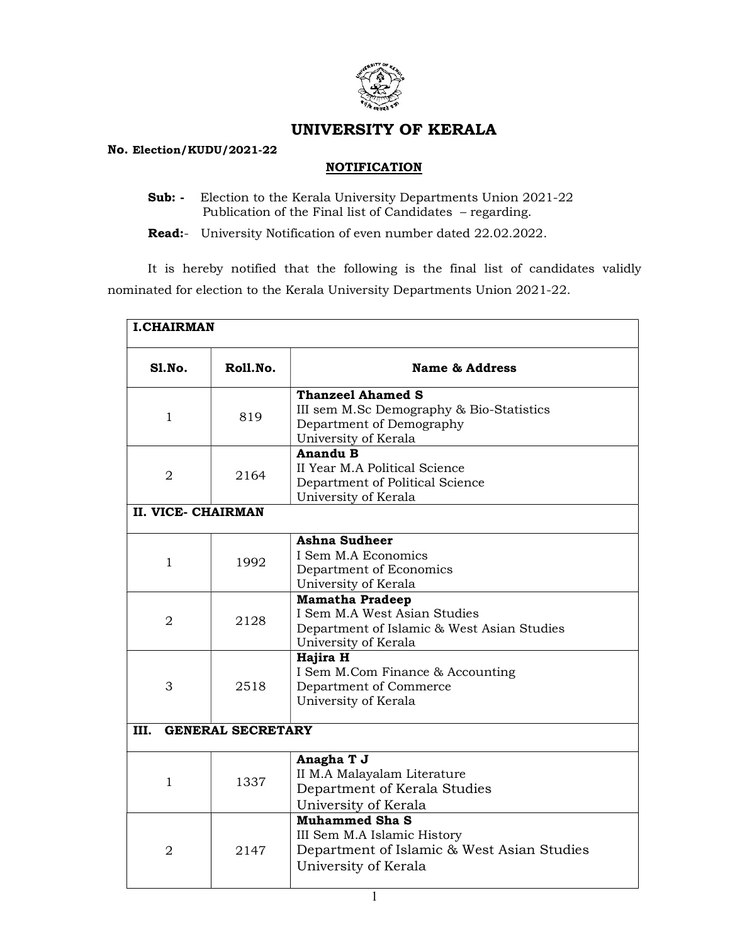

## UNIVERSITY OF KERALA

## No. Election/KUDU/2021-22

## **NOTIFICATION**

Sub: - Election to the Kerala University Departments Union 2021-22 Publication of the Final list of Candidates – regarding.

Read:- University Notification of even number dated 22.02.2022.

 It is hereby notified that the following is the final list of candidates validly nominated for election to the Kerala University Departments Union 2021-22.

| <b>I.CHAIRMAN</b> |                           |                                                                                                                              |  |  |  |  |
|-------------------|---------------------------|------------------------------------------------------------------------------------------------------------------------------|--|--|--|--|
| S1.No.            | Roll.No.                  | <b>Name &amp; Address</b>                                                                                                    |  |  |  |  |
| $\mathbf{1}$      | 819                       | <b>Thanzeel Ahamed S</b><br>III sem M.Sc Demography & Bio-Statistics<br>Department of Demography<br>University of Kerala     |  |  |  |  |
| $\overline{2}$    | 2164                      | <b>Anandu B</b><br>II Year M.A Political Science<br>Department of Political Science<br>University of Kerala                  |  |  |  |  |
|                   | <b>II. VICE- CHAIRMAN</b> |                                                                                                                              |  |  |  |  |
| $\mathbf{1}$      | 1992                      | <b>Ashna Sudheer</b><br>I Sem M.A Economics<br>Department of Economics<br>University of Kerala                               |  |  |  |  |
| $\overline{2}$    | 2128                      | <b>Mamatha Pradeep</b><br>I Sem M.A West Asian Studies<br>Department of Islamic & West Asian Studies<br>University of Kerala |  |  |  |  |
| 3                 | 2518                      | Hajira H<br>I Sem M.Com Finance & Accounting<br>Department of Commerce<br>University of Kerala                               |  |  |  |  |
| III.              | <b>GENERAL SECRETARY</b>  |                                                                                                                              |  |  |  |  |
| $\mathbf{1}$      | 1337                      | Anagha T J<br>II M.A Malayalam Literature<br>Department of Kerala Studies<br>University of Kerala                            |  |  |  |  |
| $\overline{2}$    | 2147                      | <b>Muhammed Sha S</b><br>III Sem M.A Islamic History<br>Department of Islamic & West Asian Studies<br>University of Kerala   |  |  |  |  |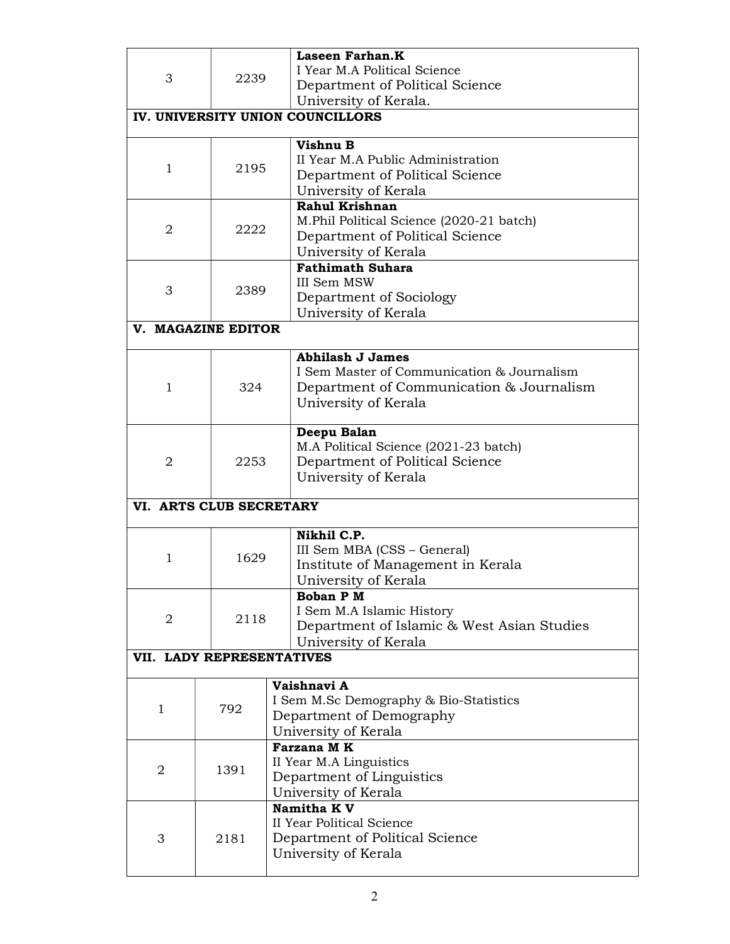|                                  |                           | <b>Laseen Farhan.K</b>                     |  |  |  |  |
|----------------------------------|---------------------------|--------------------------------------------|--|--|--|--|
| 3                                |                           | I Year M.A Political Science               |  |  |  |  |
|                                  | 2239                      | Department of Political Science            |  |  |  |  |
|                                  |                           | University of Kerala.                      |  |  |  |  |
| IV. UNIVERSITY UNION COUNCILLORS |                           |                                            |  |  |  |  |
|                                  |                           |                                            |  |  |  |  |
|                                  |                           | Vishnu B                                   |  |  |  |  |
| $\mathbf 1$                      | 2195                      | II Year M.A Public Administration          |  |  |  |  |
|                                  |                           | Department of Political Science            |  |  |  |  |
|                                  |                           | University of Kerala                       |  |  |  |  |
|                                  |                           | Rahul Krishnan                             |  |  |  |  |
| $\overline{2}$                   | 2222                      | M.Phil Political Science (2020-21 batch)   |  |  |  |  |
|                                  |                           | Department of Political Science            |  |  |  |  |
|                                  |                           | University of Kerala                       |  |  |  |  |
|                                  |                           | <b>Fathimath Suhara</b>                    |  |  |  |  |
| 3                                | 2389                      | III Sem MSW                                |  |  |  |  |
|                                  |                           | Department of Sociology                    |  |  |  |  |
|                                  |                           | University of Kerala                       |  |  |  |  |
|                                  | V. MAGAZINE EDITOR        |                                            |  |  |  |  |
|                                  |                           | <b>Abhilash J James</b>                    |  |  |  |  |
|                                  |                           | I Sem Master of Communication & Journalism |  |  |  |  |
| $\mathbf{1}$                     | 324                       | Department of Communication & Journalism   |  |  |  |  |
|                                  |                           | University of Kerala                       |  |  |  |  |
|                                  |                           |                                            |  |  |  |  |
|                                  |                           | Deepu Balan                                |  |  |  |  |
|                                  |                           | M.A Political Science (2021-23 batch)      |  |  |  |  |
| 2                                | 2253                      | Department of Political Science            |  |  |  |  |
|                                  |                           | University of Kerala                       |  |  |  |  |
|                                  | VI. ARTS CLUB SECRETARY   |                                            |  |  |  |  |
|                                  |                           |                                            |  |  |  |  |
|                                  |                           | Nikhil C.P.                                |  |  |  |  |
|                                  |                           | III Sem MBA (CSS - General)                |  |  |  |  |
| $\mathbf 1$                      | 1629                      | Institute of Management in Kerala          |  |  |  |  |
|                                  |                           | University of Kerala                       |  |  |  |  |
|                                  |                           | <b>Boban PM</b>                            |  |  |  |  |
|                                  | 2118                      | I Sem M.A Islamic History                  |  |  |  |  |
| 2                                |                           | Department of Islamic & West Asian Studies |  |  |  |  |
|                                  |                           | University of Kerala                       |  |  |  |  |
|                                  | VII. LADY REPRESENTATIVES |                                            |  |  |  |  |
|                                  |                           | Vaishnavi A                                |  |  |  |  |
|                                  |                           | I Sem M.Sc Demography & Bio-Statistics     |  |  |  |  |
| 1                                | 792                       | Department of Demography                   |  |  |  |  |
|                                  |                           | University of Kerala                       |  |  |  |  |
|                                  |                           | Farzana MK                                 |  |  |  |  |
|                                  |                           | II Year M.A Linguistics                    |  |  |  |  |
| 2                                | 1391                      | Department of Linguistics                  |  |  |  |  |
|                                  |                           | University of Kerala                       |  |  |  |  |
|                                  |                           | Namitha KV                                 |  |  |  |  |
|                                  |                           | II Year Political Science                  |  |  |  |  |
| 3                                | 2181                      | Department of Political Science            |  |  |  |  |
|                                  |                           | University of Kerala                       |  |  |  |  |
|                                  |                           |                                            |  |  |  |  |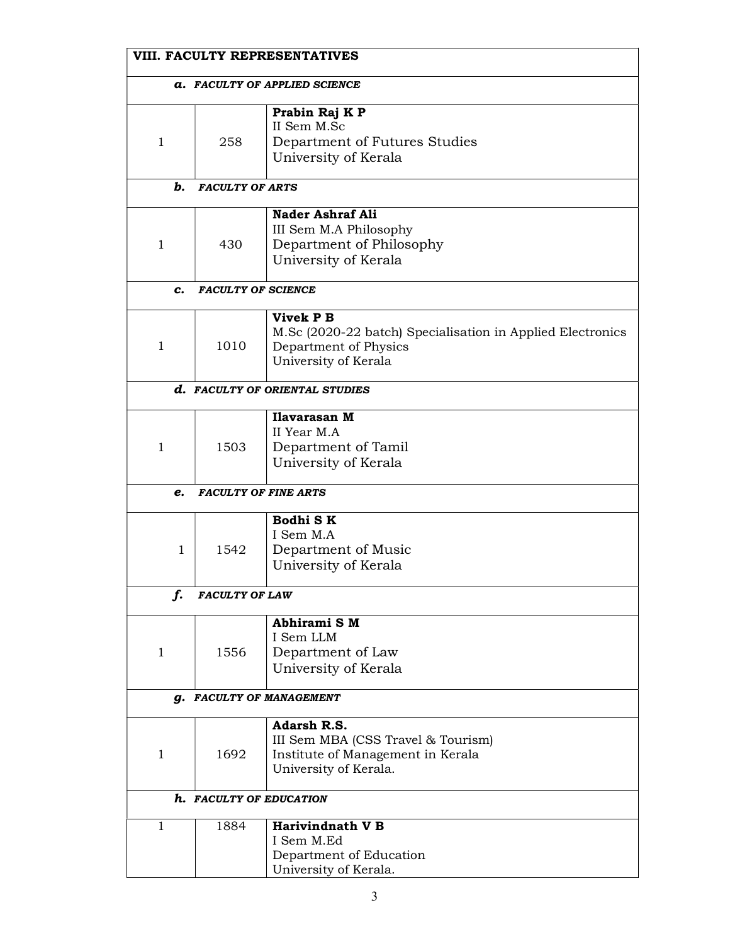|                                      | VIII. FACULTY REPRESENTATIVES |                                                                                                                          |  |  |  |  |
|--------------------------------------|-------------------------------|--------------------------------------------------------------------------------------------------------------------------|--|--|--|--|
| <b>a. FACULTY OF APPLIED SCIENCE</b> |                               |                                                                                                                          |  |  |  |  |
| 1                                    | 258                           | Prabin Raj K P<br>II Sem M.Sc<br>Department of Futures Studies<br>University of Kerala                                   |  |  |  |  |
| b.                                   | <b>FACULTY OF ARTS</b>        |                                                                                                                          |  |  |  |  |
| 1                                    | 430                           | <b>Nader Ashraf Ali</b><br>III Sem M.A Philosophy<br>Department of Philosophy<br>University of Kerala                    |  |  |  |  |
| c.                                   | <b>FACULTY OF SCIENCE</b>     |                                                                                                                          |  |  |  |  |
| 1                                    | 1010                          | Vivek P B<br>M.Sc (2020-22 batch) Specialisation in Applied Electronics<br>Department of Physics<br>University of Kerala |  |  |  |  |
|                                      |                               | d. FACULTY OF ORIENTAL STUDIES                                                                                           |  |  |  |  |
| 1                                    | 1503                          | Ilavarasan M<br>II Year M.A<br>Department of Tamil<br>University of Kerala                                               |  |  |  |  |
| e.                                   |                               | <b>FACULTY OF FINE ARTS</b>                                                                                              |  |  |  |  |
| 1                                    | 1542                          | Bodhi SK<br>I Sem M.A<br>Department of Music<br>University of Kerala                                                     |  |  |  |  |
| f.                                   | <b>FACULTY OF LAW</b>         |                                                                                                                          |  |  |  |  |
| 1                                    | 1556                          | Abhirami SM<br>I Sem LLM<br>Department of Law<br>University of Kerala                                                    |  |  |  |  |
| <b>g. FACULTY OF MANAGEMENT</b>      |                               |                                                                                                                          |  |  |  |  |
| 1                                    | 1692                          | Adarsh R.S.<br>III Sem MBA (CSS Travel & Tourism)<br>Institute of Management in Kerala<br>University of Kerala.          |  |  |  |  |
|                                      |                               | h. FACULTY OF EDUCATION                                                                                                  |  |  |  |  |
| 1                                    | 1884                          | <b>Harivindnath V B</b><br>I Sem M.Ed<br>Department of Education<br>University of Kerala.                                |  |  |  |  |